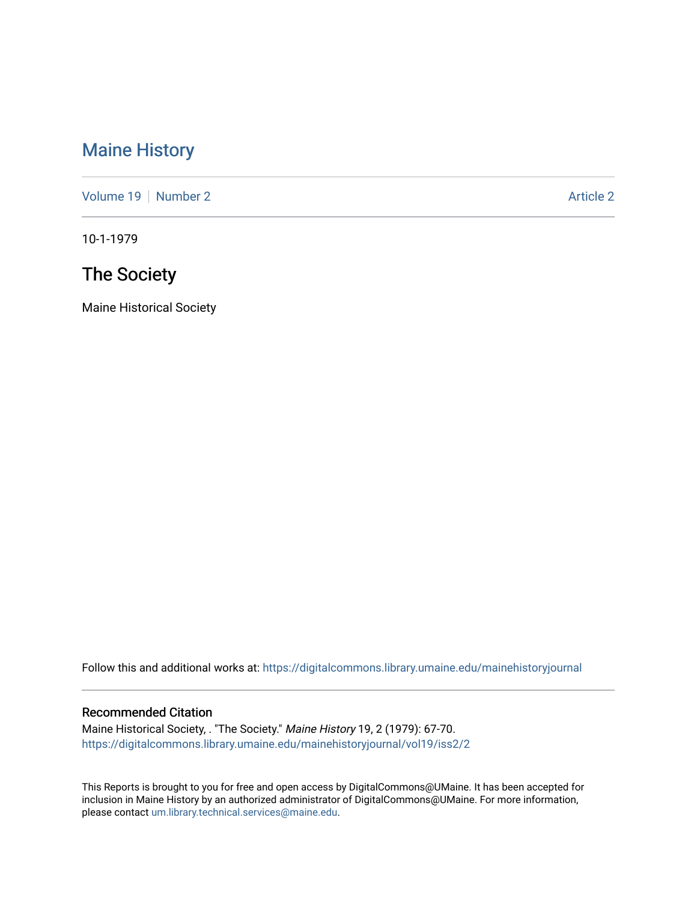## [Maine History](https://digitalcommons.library.umaine.edu/mainehistoryjournal)

[Volume 19](https://digitalcommons.library.umaine.edu/mainehistoryjournal/vol19) [Number 2](https://digitalcommons.library.umaine.edu/mainehistoryjournal/vol19/iss2) Article 2

10-1-1979

# The Society

Maine Historical Society

Follow this and additional works at: [https://digitalcommons.library.umaine.edu/mainehistoryjournal](https://digitalcommons.library.umaine.edu/mainehistoryjournal?utm_source=digitalcommons.library.umaine.edu%2Fmainehistoryjournal%2Fvol19%2Fiss2%2F2&utm_medium=PDF&utm_campaign=PDFCoverPages) 

### Recommended Citation

Maine Historical Society, . "The Society." Maine History 19, 2 (1979): 67-70. [https://digitalcommons.library.umaine.edu/mainehistoryjournal/vol19/iss2/2](https://digitalcommons.library.umaine.edu/mainehistoryjournal/vol19/iss2/2?utm_source=digitalcommons.library.umaine.edu%2Fmainehistoryjournal%2Fvol19%2Fiss2%2F2&utm_medium=PDF&utm_campaign=PDFCoverPages)

This Reports is brought to you for free and open access by DigitalCommons@UMaine. It has been accepted for inclusion in Maine History by an authorized administrator of DigitalCommons@UMaine. For more information, please contact [um.library.technical.services@maine.edu.](mailto:um.library.technical.services@maine.edu)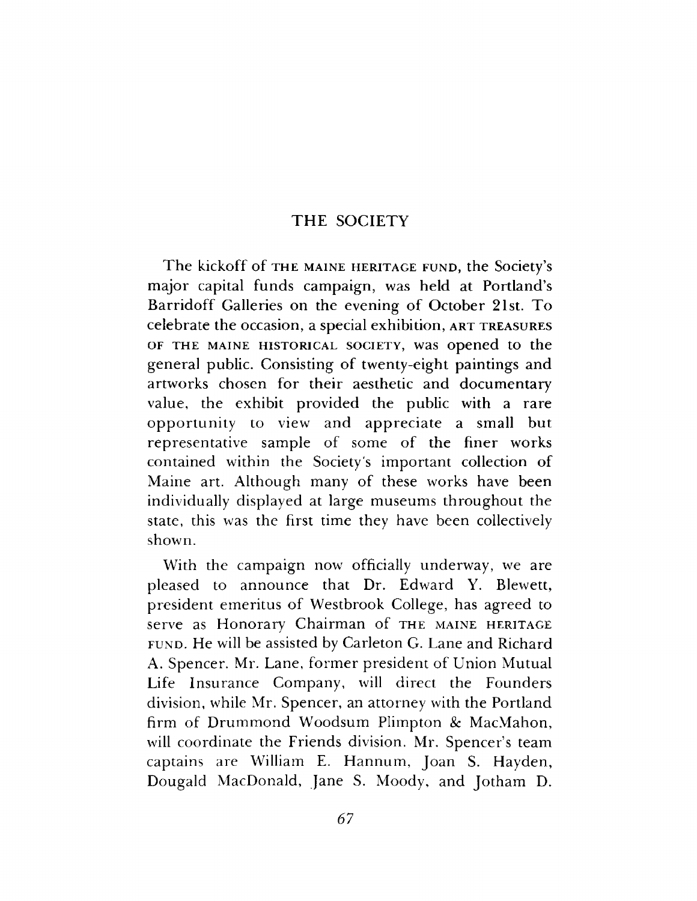### THE SOCIETY

T he kickoff of **the Maine heritage fund,** the Society's major capital funds campaign, was held at Portland's Barridoff Galleries on the evening of October 21st. To celebrate the occasion, a special exhibition, **art treasures of the maine historical society,** was opened to the general public. Consisting of twenty-eight paintings and artworks chosen for their aesthetic and documentary value, the exhibit provided the public with a rare opportunity to view and appreciate a small but representative sample of some of the finer works contained within the Society's im portant collection of Maine art. Although many of these works have been individually displayed at large museums throughout the state, this was the first time they have been collectively shown.

With the campaign now officially underway, we are pleased to announce that Dr. Edward Y. Blewett, president emeritus of Westbrook College, has agreed to serve as Honorary Chairman of THE MAINE HERITAGE **fu n d .** He will be assisted by Carleton G. Lane and Richard A. Spencer. Mr. Lane, former president of Union Mutual Life Insurance Company, will direct the Founders division, while Mr. Spencer, an attorney with the Portland firm of Drummond Woodsum Plimpton & MacMahon, will coordinate the Friends division. Mr. Spencer's team captains are William E. Hannum, Joan S. Hayden, Dougald MacDonald, Jane S. Moody, and Jotham D.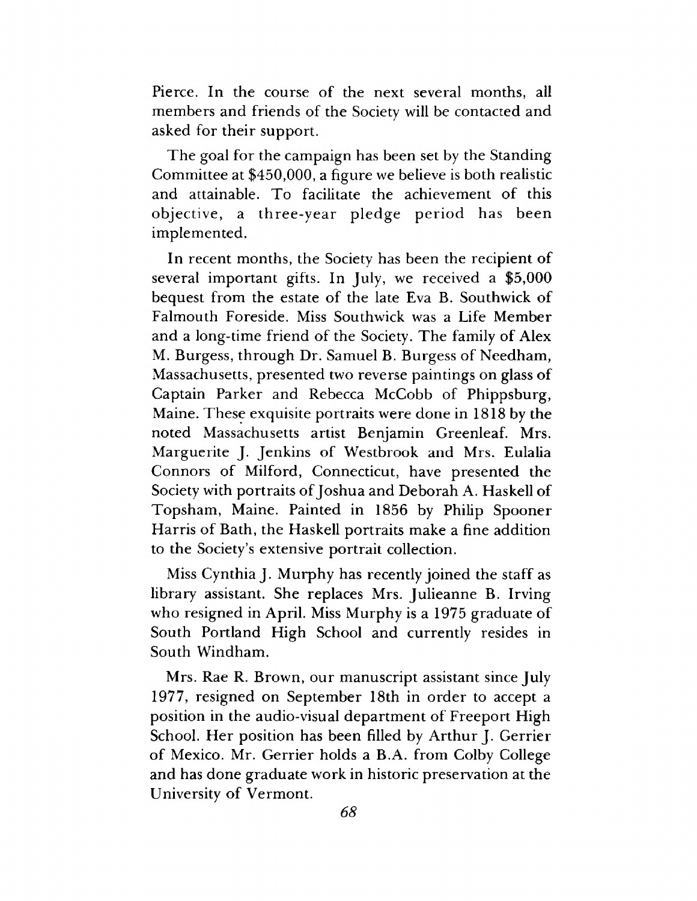Pierce. In the course of the next several months, all members and friends of the Society will be contacted and asked for their support.

The goal for the campaign has been set by the Standing Committee at \$450,000, a figure we believe is both realistic and attainable. To facilitate the achievement of this objective, a three-year pledge period has been implemented.

In recent months, the Society has been the recipient of several important gifts. In July, we received a  $$5,000$ bequest from the estate of the late Eva B. Southwick of Falmouth Foreside. Miss Southwick was a Life Member and a long-time friend of the Society. The family of Alex M. Burgess, through Dr. Samuel B. Burgess of Needham, Massachusetts, presented two reverse paintings on glass of Captain Parker and Rebecca McCobb of Phippsburg, Maine. These exquisite portraits were done in 1818 by the noted Massachusetts artist Benjamin Greenleaf. Mrs. Marguerite J. Jenkins of Westbrook and Mrs. Eulalia Connors of Milford, Connecticut, have presented the Society with portraits of Joshua and Deborah A. Haskell of Topsham, Maine. Painted in 1856 by Philip Spooner Harris of Bath, the Haskell portraits make a fine addition to the Society's extensive portrait collection.

Miss Cynthia J. Murphy has recently joined the staff as library assistant. She replaces Mrs. Julieanne B. Irving who resigned in April. Miss Murphy is a 1975 graduate of South Portland High School and currently resides in South Windham.

Mrs. Rae R. Brown, our manuscript assistant since July 1977, resigned on September 18th in order to accept a position in the audio-visual department of Freeport High School. Her position has been filled by Arthur J. Gerrier of Mexico. Mr. Gerrier holds a B.A. from Colby College and has done graduate work in historic preservation at the University of Vermont.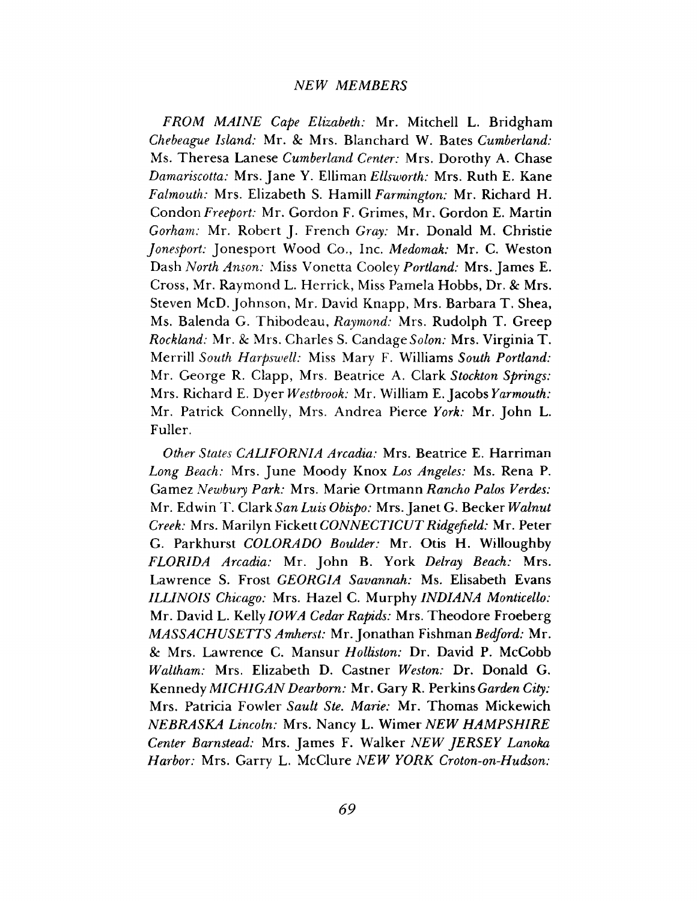#### *NEW MEMBERS*

*FROM MAINE Cape Elizabeth:* Mr. Mitchell L. Bridgham *Chebeague Island:* Mr. & Mrs. Blanchard W. Bates *Cumberland:* Ms. Theresa Lanese *Cumberland Center:* Mrs. Dorothy A. Chase *Damariscotta:* Mrs. Jane Y. Elliman *Ellsworth:* Mrs. Ruth E. Kane *Falmouth:* Mrs. Elizabeth S. Hamill *Farmington:* Mr. Richard H. Condon *Freeport:* Mr. Gordon F. Grimes, Mr. Gordon E. Martin *Gorham:* Mr. Robert J. French *Gray:* Mr. Donald M. Christie *Jonesport:* Jonesport Wood Co., Inc. *Medomak:* Mr. C. Weston Dash *North Anson:* Miss Vonetta Cooley *Portland:* Mrs. James E. Cross, Mr. Raymond L. Herrick, Miss Pamela Hobbs, Dr. & Mrs. Steven McD. Johnson, Mr. David Knapp, Mrs. Barbara T. Shea, Ms. Balenda G. Thibodeau, *Raymond:* Mrs. Rudolph T. Greep *Rockland:* Mr. *8c* Mrs. Charles S. Candag*e Solon:* Mrs. Virginia T. Merrill *South Harpswell:* Miss Mary F. Williams *South Portland:* Mr. George R. Clapp, Mrs. Beatrice A. Clark *Stockton Springs:* Mrs. Richard E. Dyer *Westbrook:* Mr. William E. Jacobs *Yarmouth:* Mr. Patrick Connelly, Mrs. Andrea Pierce *York:* Mr. John L. Fuller.

*Other States CALIFORNIA Arcadia:* Mrs. Beatrice E, Harriman *Long Beach:* Mrs. June Moody Knox *Los Angeles:* Ms. Rena P. Gamez *Newbury Park:* Mrs. Marie Ortmann *Rancho Palos Verdes:* Mr. Edwin T. Clark *San Luis Obispo:* Mrs. Janet G. Becker *Walnut Creek:* Mrs. Marilyn Fickett *CONNECTICUT Ridgefield:* Mr. Peter G. Parkhurst *COLORADO Boulder:* Mr. Otis H. Willoughby *FLORIDA Arcadia:* Mr. John B. York *Delray Beach:* Mrs. Lawrence S. Frost *GEORGIA Savannah:* Ms. Elisabeth Evans *ILLINOIS Chicago:* Mrs. Hazel C. Murphy *INDIANA Monticello:* Mr. David L. Kelly *10WA Cedar Rapids:* Mrs. Theodore Froeberg *MASSACHUSETTS Amherst:* Mr. Jonathan Fishman *Bedford:* Mr. *8c* Mrs. Lawrence C. Mansur *Holliston:* Dr. David P. McCobb *Waltham:* Mrs. Elizabeth D. Castner *Weston:* Dr. Donald G. Kennedy *MICHIGAN Dearborn:* Mr. Gary R. Perkins *Garden City:* Mrs. Patricia Fowler *Sault Ste. Marie:* Mr. Thomas Mickewich *NEBRASKA Lincoln:* Mrs. Nancy L. Wimer *NEW HAMPSHIRE Center Barnstead:* Mrs. James F. Walker *NEW JERSEY Lanoka Harbor:* Mrs. Garry L. McClure *NEW YORK Croton-on-Hudson:*